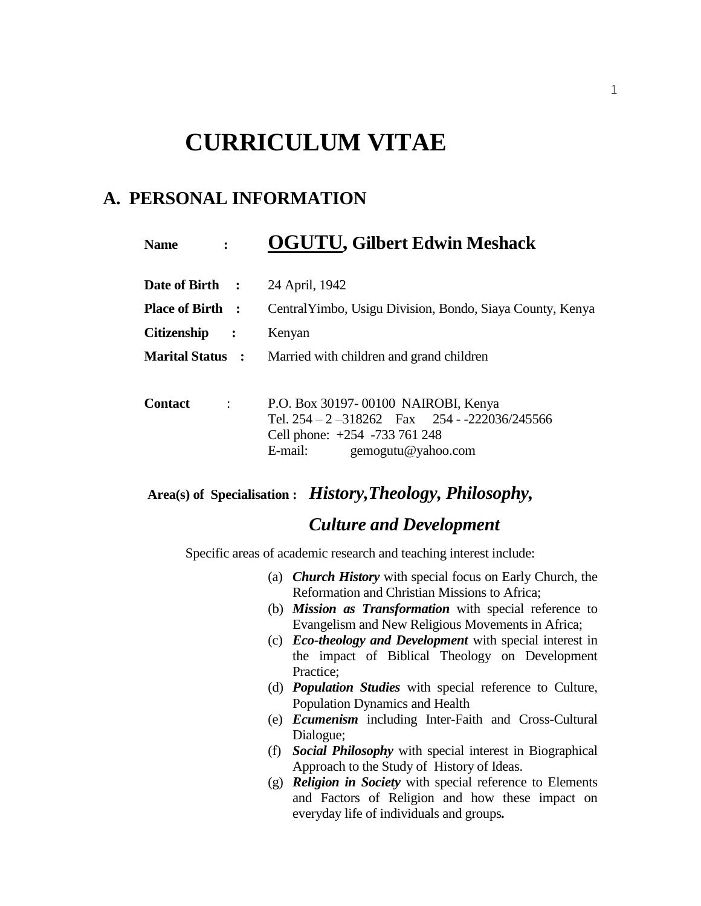# **CURRICULUM VITAE**

## **A. PERSONAL INFORMATION**

| <b>Name</b>                                | <b>OGUTU, Gilbert Edwin Meshack</b>                       |
|--------------------------------------------|-----------------------------------------------------------|
| Date of Birth :                            | 24 April, 1942                                            |
| <b>Place of Birth</b> :                    | Central Yimbo, Usigu Division, Bondo, Siaya County, Kenya |
| <b>Citizenship</b><br>$\ddot{\phantom{1}}$ | Kenyan                                                    |
| <b>Marital Status</b> :                    | Married with children and grand children                  |
|                                            |                                                           |
| <b>Contact</b><br>$\cdot$                  | P.O. Box 30197-00100 NAIROBI, Kenya                       |
|                                            | Tel. $254 - 2 - 318262$ Fax $254 - 222036/245566$         |
|                                            | Cell phone: +254 -733 761 248                             |
|                                            | gemogutu@yahoo.com<br>E-mail:                             |

**Area(s) of Specialisation :** *History,Theology, Philosophy,* 

## *Culture and Development*

Specific areas of academic research and teaching interest include:

- (a) *Church History* with special focus on Early Church, the Reformation and Christian Missions to Africa;
- (b) *Mission as Transformation* with special reference to Evangelism and New Religious Movements in Africa;
- (c) *Eco-theology and Development* with special interest in the impact of Biblical Theology on Development Practice;
- (d) *Population Studies* with special reference to Culture, Population Dynamics and Health
- (e) *Ecumenism* including Inter-Faith and Cross-Cultural Dialogue;
- (f) *Social Philosophy* with special interest in Biographical Approach to the Study of History of Ideas.
- (g) *Religion in Society* with special reference to Elements and Factors of Religion and how these impact on everyday life of individuals and groups*.*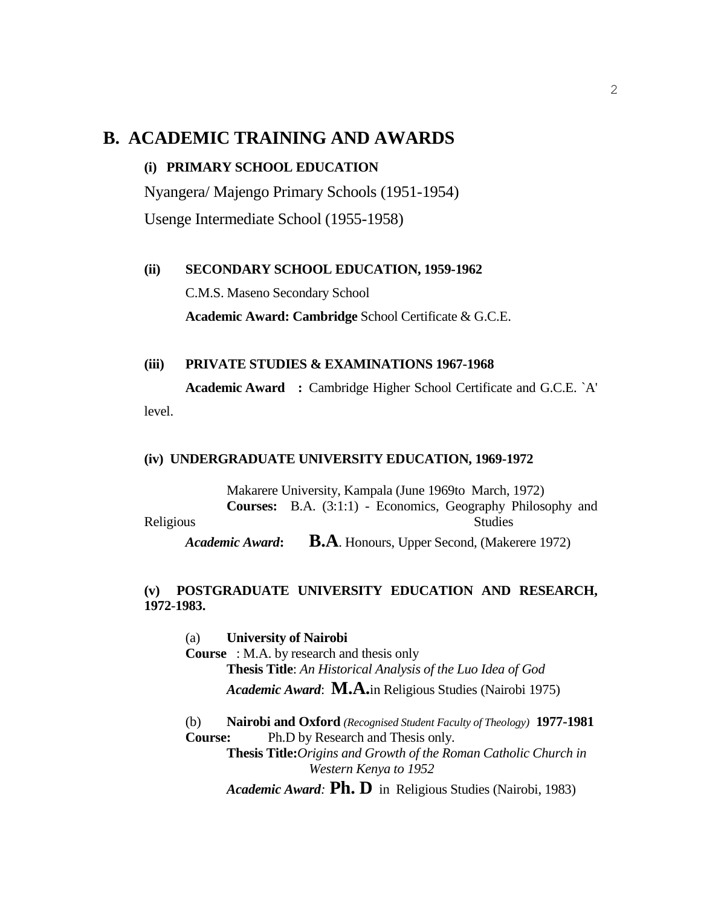## **B. ACADEMIC TRAINING AND AWARDS**

#### **(i) PRIMARY SCHOOL EDUCATION**

Nyangera/ Majengo Primary Schools (1951-1954)

Usenge Intermediate School (1955-1958)

#### **(ii) SECONDARY SCHOOL EDUCATION, 1959-1962**

C.M.S. Maseno Secondary School

**Academic Award: Cambridge** School Certificate & G.C.E.

#### **(iii) PRIVATE STUDIES & EXAMINATIONS 1967-1968**

**Academic Award :** Cambridge Higher School Certificate and G.C.E. `A' level.

#### **(iv) UNDERGRADUATE UNIVERSITY EDUCATION, 1969-1972**

Makarere University, Kampala (June 1969to March, 1972) **Courses:** B.A. (3:1:1) - Economics, Geography Philosophy and Religious Studies *Academic Award***: B.A**. Honours, Upper Second, (Makerere 1972)

#### **(v) POSTGRADUATE UNIVERSITY EDUCATION AND RESEARCH, 1972**-**1983.**

(a) **University of Nairobi Course** : M.A. by research and thesis only **Thesis Title**: *An Historical Analysis of the Luo Idea of God Academic Award*: **M.A.**in Religious Studies (Nairobi 1975) (b) **Nairobi and Oxford** *(Recognised Student Faculty of Theology)* **1977-1981 Course:** Ph.D by Research and Thesis only. **Thesis Title:***Origins and Growth of the Roman Catholic Church in Western Kenya to 1952*

*Academic Award:* **Ph. D** in Religious Studies (Nairobi, 1983)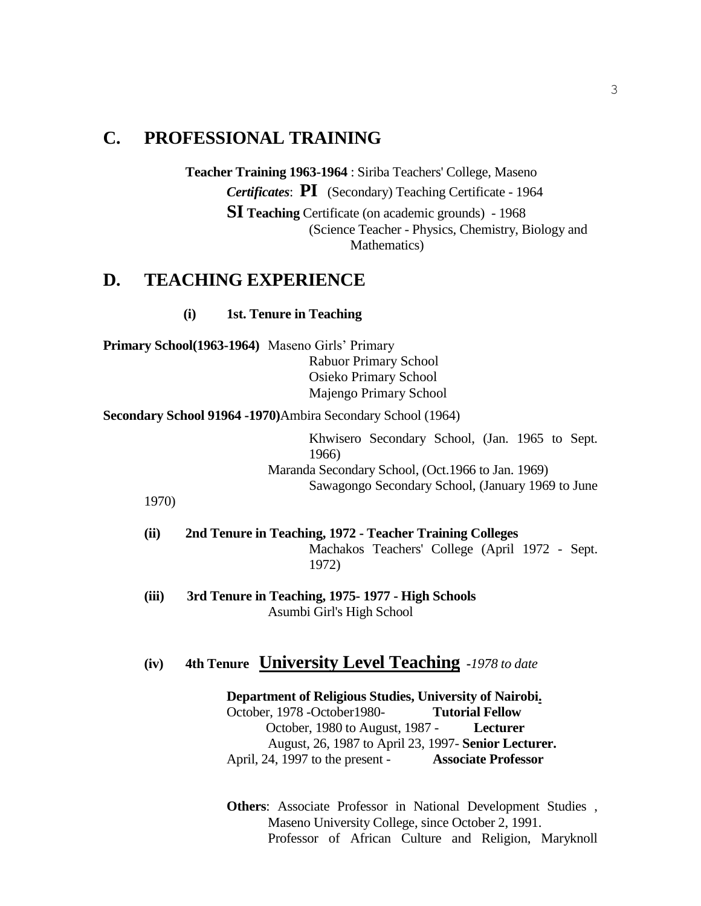## **C. PROFESSIONAL TRAINING**

**Teacher Training 1963-1964** : Siriba Teachers' College, Maseno *Certificates*: **PI** (Secondary) Teaching Certificate - 1964 **SI Teaching** Certificate (on academic grounds) - 1968 (Science Teacher - Physics, Chemistry, Biology and Mathematics)

### **D. TEACHING EXPERIENCE**

 **(i) 1st. Tenure in Teaching** 

**Primary School(1963-1964)** Maseno Girls' Primary Rabuor Primary School Osieko Primary School Majengo Primary School

**Secondary School 91964 -1970)**Ambira Secondary School (1964)

Khwisero Secondary School, (Jan. 1965 to Sept. 1966) Maranda Secondary School, (Oct.1966 to Jan. 1969) Sawagongo Secondary School, (January 1969 to June

1970)

- **(ii) 2nd Tenure in Teaching, 1972 - Teacher Training Colleges** Machakos Teachers' College (April 1972 - Sept. 1972)
- **(iii) 3rd Tenure in Teaching, 1975- 1977 - High Schools** Asumbi Girl's High School

## **(iv) 4th Tenure University Level Teaching -***1978 to date*

**Department of Religious Studies, University of Nairobi.** October, 1978 -October1980- **Tutorial Fellow** October, 1980 to August, 1987 - **Lecturer**  August, 26, 1987 to April 23, 1997- **Senior Lecturer.** April, 24, 1997 to the present - **Associate Professor**

**Others**: Associate Professor in National Development Studies , Maseno University College, since October 2, 1991. Professor of African Culture and Religion, Maryknoll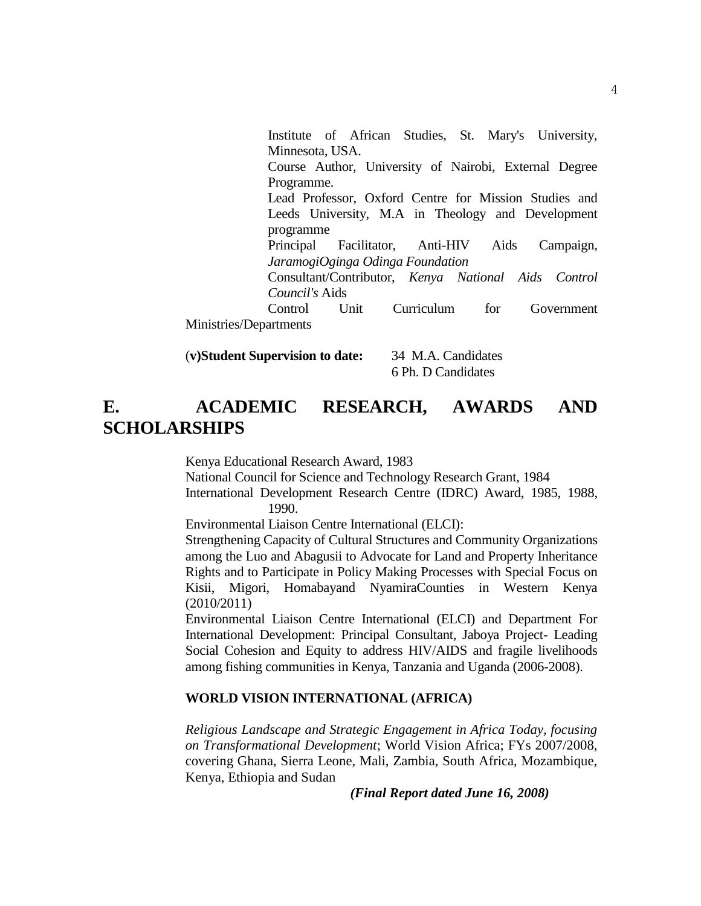Institute of African Studies, St. Mary's University, Minnesota, USA. Course Author, University of Nairobi, External Degree Programme. Lead Professor, Oxford Centre for Mission Studies and Leeds University, M.A in Theology and Development programme Principal Facilitator, Anti-HIV Aids Campaign, *JaramogiOginga Odinga Foundation* Consultant/Contributor, *Kenya National Aids Control Council's* Aids Control Unit Curriculum for Government Ministries/Departments

(**v)Student Supervision to date:** 34 M.A. Candidates 6 Ph. D Candidates

## **E. ACADEMIC RESEARCH, AWARDS AND SCHOLARSHIPS**

Kenya Educational Research Award, 1983

National Council for Science and Technology Research Grant, 1984

International Development Research Centre (IDRC) Award, 1985, 1988, 1990.

Environmental Liaison Centre International (ELCI):

Strengthening Capacity of Cultural Structures and Community Organizations among the Luo and Abagusii to Advocate for Land and Property Inheritance Rights and to Participate in Policy Making Processes with Special Focus on Kisii, Migori, Homabayand NyamiraCounties in Western Kenya (2010/2011)

Environmental Liaison Centre International (ELCI) and Department For International Development: Principal Consultant, Jaboya Project- Leading Social Cohesion and Equity to address HIV/AIDS and fragile livelihoods among fishing communities in Kenya, Tanzania and Uganda (2006-2008).

#### **WORLD VISION INTERNATIONAL (AFRICA)**

*Religious Landscape and Strategic Engagement in Africa Today, focusing on Transformational Development*; World Vision Africa; FYs 2007/2008, covering Ghana, Sierra Leone, Mali, Zambia, South Africa, Mozambique, Kenya, Ethiopia and Sudan

*(Final Report dated June 16, 2008)*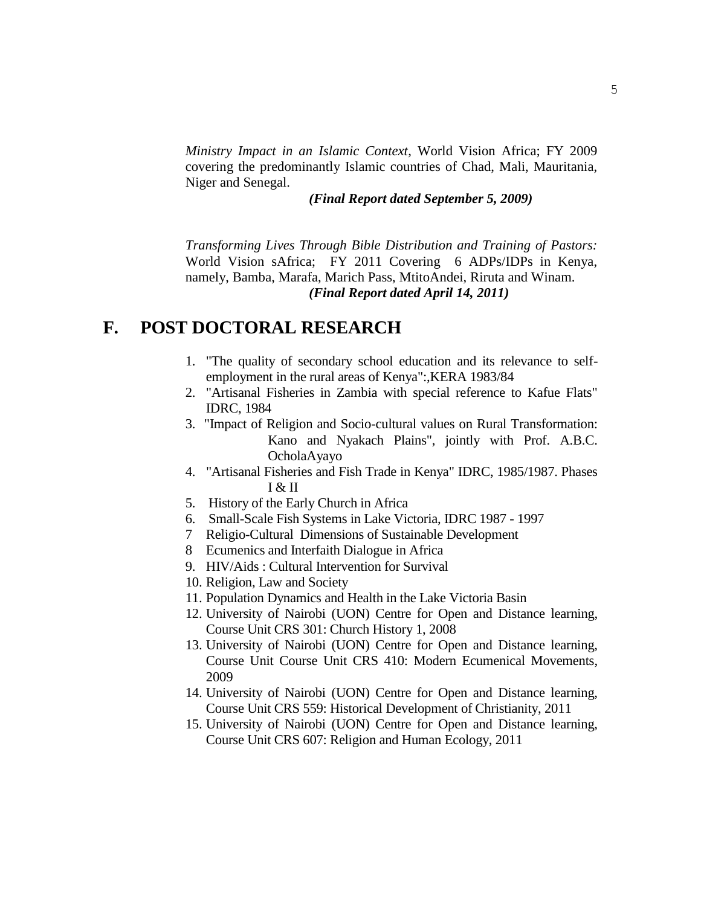*Ministry Impact in an Islamic Context*, World Vision Africa; FY 2009 covering the predominantly Islamic countries of Chad, Mali, Mauritania, Niger and Senegal.

#### *(Final Report dated September 5, 2009)*

*Transforming Lives Through Bible Distribution and Training of Pastors:* World Vision sAfrica; FY 2011 Covering 6 ADPs/IDPs in Kenya, namely, Bamba, Marafa, Marich Pass, MtitoAndei, Riruta and Winam. *(Final Report dated April 14, 2011)*

## **F. POST DOCTORAL RESEARCH**

- 1. "The quality of secondary school education and its relevance to selfemployment in the rural areas of Kenya":,KERA 1983/84
- 2. "Artisanal Fisheries in Zambia with special reference to Kafue Flats" IDRC, 1984
- 3. "Impact of Religion and Socio-cultural values on Rural Transformation: Kano and Nyakach Plains", jointly with Prof. A.B.C. OcholaAyayo
- 4. "Artisanal Fisheries and Fish Trade in Kenya" IDRC, 1985/1987. Phases I & II
- 5. History of the Early Church in Africa
- 6. Small-Scale Fish Systems in Lake Victoria, IDRC 1987 1997
- 7 Religio-Cultural Dimensions of Sustainable Development
- 8 Ecumenics and Interfaith Dialogue in Africa
- 9. HIV/Aids : Cultural Intervention for Survival
- 10. Religion, Law and Society
- 11. Population Dynamics and Health in the Lake Victoria Basin
- 12. University of Nairobi (UON) Centre for Open and Distance learning, Course Unit CRS 301: Church History 1, 2008
- 13. University of Nairobi (UON) Centre for Open and Distance learning, Course Unit Course Unit CRS 410: Modern Ecumenical Movements, 2009
- 14. University of Nairobi (UON) Centre for Open and Distance learning, Course Unit CRS 559: Historical Development of Christianity, 2011
- 15. University of Nairobi (UON) Centre for Open and Distance learning, Course Unit CRS 607: Religion and Human Ecology, 2011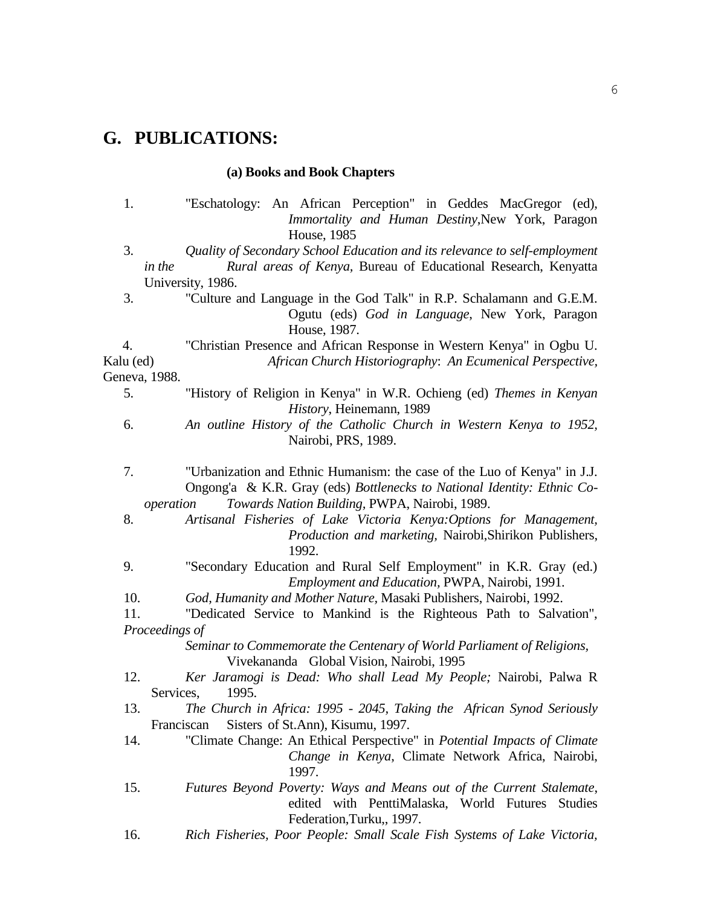# **G. PUBLICATIONS:**

## **(a) Books and Book Chapters**

| 1.              | "Eschatology: An African Perception" in Geddes MacGregor (ed),<br>Immortality and Human Destiny, New York, Paragon<br>House, 1985                                                                    |
|-----------------|------------------------------------------------------------------------------------------------------------------------------------------------------------------------------------------------------|
| 3.<br>in the    | Quality of Secondary School Education and its relevance to self-employment<br>Rural areas of Kenya, Bureau of Educational Research, Kenyatta                                                         |
|                 | University, 1986.                                                                                                                                                                                    |
| 3.              | "Culture and Language in the God Talk" in R.P. Schalamann and G.E.M.<br>Ogutu (eds) God in Language, New York, Paragon                                                                               |
| 4.              | House, 1987.                                                                                                                                                                                         |
| Kalu (ed)       | "Christian Presence and African Response in Western Kenya" in Ogbu U.<br>African Church Historiography: An Ecumenical Perspective,                                                                   |
| Geneva, 1988.   |                                                                                                                                                                                                      |
| 5.              | "History of Religion in Kenya" in W.R. Ochieng (ed) Themes in Kenyan                                                                                                                                 |
|                 | History, Heinemann, 1989                                                                                                                                                                             |
| 6.              | An outline History of the Catholic Church in Western Kenya to 1952,<br>Nairobi, PRS, 1989.                                                                                                           |
| 7.<br>operation | "Urbanization and Ethnic Humanism: the case of the Luo of Kenya" in J.J.<br>Ongong'a & K.R. Gray (eds) Bottlenecks to National Identity: Ethnic Co-<br>Towards Nation Building, PWPA, Nairobi, 1989. |
| 8.              | Artisanal Fisheries of Lake Victoria Kenya: Options for Management,<br>Production and marketing, Nairobi, Shirikon Publishers,<br>1992.                                                              |
| 9.              | "Secondary Education and Rural Self Employment" in K.R. Gray (ed.)<br>Employment and Education, PWPA, Nairobi, 1991.                                                                                 |
| 10.             | God, Humanity and Mother Nature, Masaki Publishers, Nairobi, 1992.                                                                                                                                   |
| 11.             | "Dedicated Service to Mankind is the Righteous Path to Salvation",                                                                                                                                   |
| Proceedings of  |                                                                                                                                                                                                      |
|                 | Seminar to Commemorate the Centenary of World Parliament of Religions,<br>Vivekananda Global Vision, Nairobi, 1995                                                                                   |
| 12.             | Ker Jaramogi is Dead: Who shall Lead My People; Nairobi, Palwa R                                                                                                                                     |
| Services,       | 1995.                                                                                                                                                                                                |
| 13.             | The Church in Africa: 1995 - 2045, Taking the African Synod Seriously                                                                                                                                |
|                 | Sisters of St.Ann), Kisumu, 1997.<br>Franciscan                                                                                                                                                      |
| 14.             | "Climate Change: An Ethical Perspective" in <i>Potential Impacts of Climate</i>                                                                                                                      |
|                 | Change in Kenya, Climate Network Africa, Nairobi,<br>1997.                                                                                                                                           |
| 15.             | Futures Beyond Poverty: Ways and Means out of the Current Stalemate,<br>edited with PenttiMalaska, World Futures Studies<br>Federation, Turku,, 1997.                                                |

16. *Rich Fisheries, Poor People: Small Scale Fish Systems of Lake Victoria,*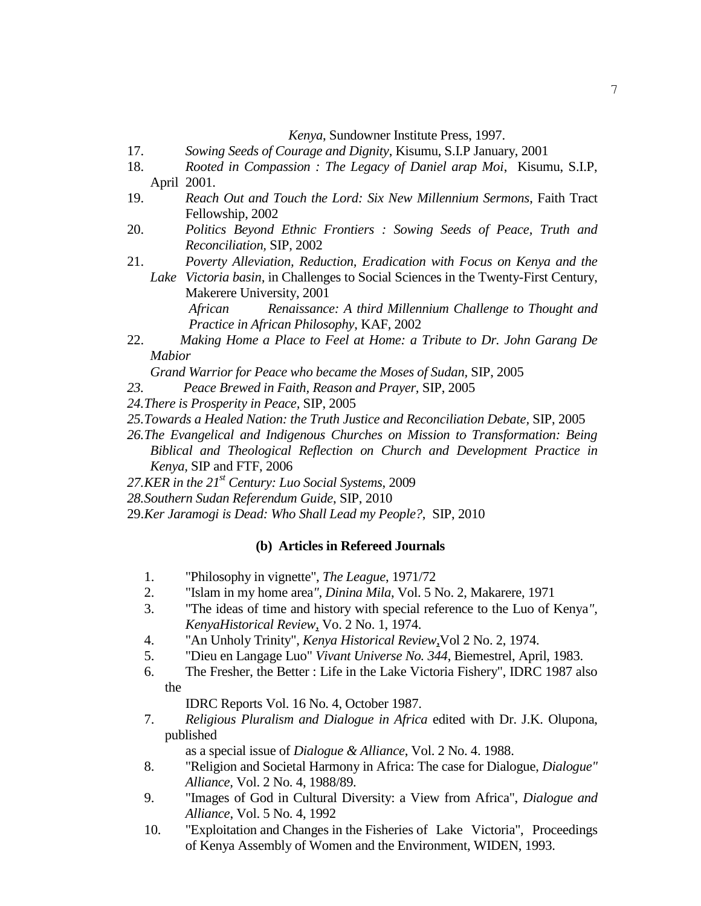*Kenya*, Sundowner Institute Press, 1997.

- 17. *Sowing Seeds of Courage and Dignity*, Kisumu, S.I.P January, 2001
- 18. *Rooted in Compassion : The Legacy of Daniel arap Moi*, Kisumu, S.I.P, April 2001.
- 19. *Reach Out and Touch the Lord: Six New Millennium Sermons*, Faith Tract Fellowship, 2002
- 20. *Politics Beyond Ethnic Frontiers : Sowing Seeds of Peace, Truth and Reconciliation,* SIP, 2002
- 21. *Poverty Alleviation, Reduction, Eradication with Focus on Kenya and the Lake Victoria basin,* in Challenges to Social Sciences in the Twenty-First Century, Makerere University, 2001 *African Renaissance: A third Millennium Challenge to Thought and Practice in African Philosophy*, KAF, 2002
- 22. *Making Home a Place to Feel at Home: a Tribute to Dr. John Garang De Mabior*

*Grand Warrior for Peace who became the Moses of Sudan,* SIP, 2005

- *23. Peace Brewed in Faith, Reason and Prayer,* SIP, 2005
- *24.There is Prosperity in Peace,* SIP, 2005
- *25.Towards a Healed Nation: the Truth Justice and Reconciliation Debate,* SIP, 2005
- *26.The Evangelical and Indigenous Churches on Mission to Transformation: Being Biblical and Theological Reflection on Church and Development Practice in Kenya,* SIP and FTF, 2006
- *27.KER in the 21st Century: Luo Social Systems*, 2009
- *28.Southern Sudan Referendum Guide*, SIP, 2010
- 29.*Ker Jaramogi is Dead: Who Shall Lead my People?*, SIP, 2010

#### **(b) Articles in Refereed Journals**

- 1. "Philosophy in vignette", *The League*, 1971/72
- 2. "Islam in my home area*", Dinina Mila*, Vol. 5 No. 2, Makarere, 1971
- 3. "The ideas of time and history with special reference to the Luo of Kenya*", KenyaHistorical Review,* Vo. 2 No. 1, 1974.
- 4. "An Unholy Trinity", *Kenya Historical Review*,Vol 2 No. 2, 1974.
- 5. "Dieu en Langage Luo" *Vivant Universe No. 344*, Biemestrel, April, 1983.
- 6. The Fresher, the Better : Life in the Lake Victoria Fishery", IDRC 1987 also

the

IDRC Reports Vol. 16 No. 4, October 1987.

7. *Religious Pluralism and Dialogue in Africa* edited with Dr. J.K. Olupona, published

as a special issue of *Dialogue & Alliance*, Vol. 2 No. 4. 1988.

- 8. "Religion and Societal Harmony in Africa: The case for Dialogue, *Dialogue" Alliance,* Vol. 2 No. 4, 1988/89.
- 9. "Images of God in Cultural Diversity: a View from Africa", *Dialogue and Alliance*, Vol. 5 No. 4, 1992
- 10. "Exploitation and Changes in the Fisheries of Lake Victoria", Proceedings of Kenya Assembly of Women and the Environment, WIDEN, 1993.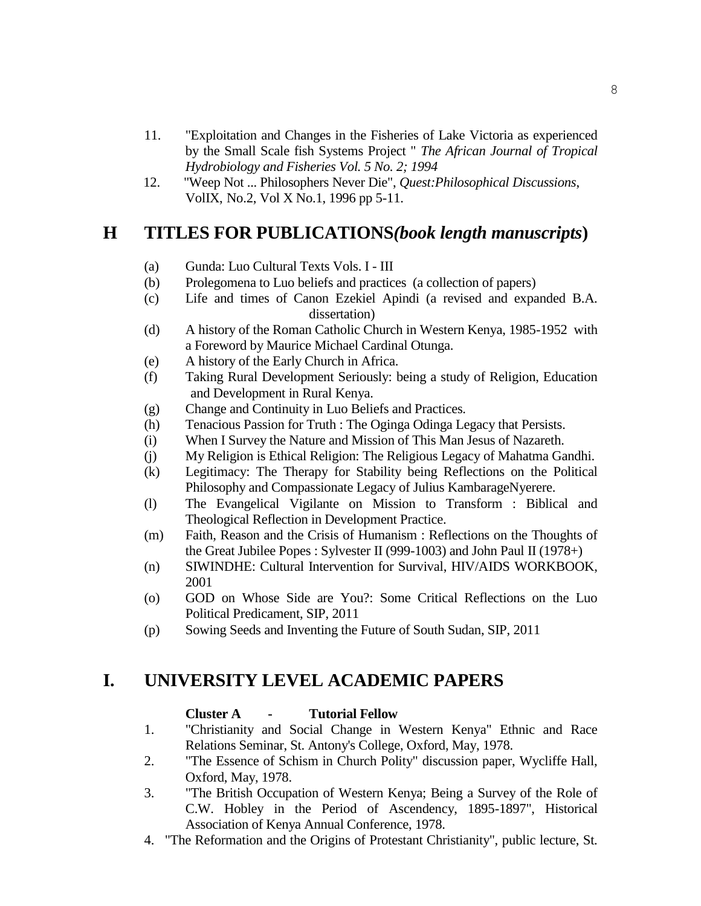- 11. "Exploitation and Changes in the Fisheries of Lake Victoria as experienced by the Small Scale fish Systems Project " *The African Journal of Tropical Hydrobiology and Fisheries Vol. 5 No. 2; 1994*
- 12. "Weep Not ... Philosophers Never Die", *Quest:Philosophical Discussions*, VolIX, No.2, Vol X No.1, 1996 pp 5-11.

## **H TITLES FOR PUBLICATIONS***(book length manuscripts***)**

- (a) Gunda: Luo Cultural Texts Vols. I III
- (b) Prolegomena to Luo beliefs and practices (a collection of papers)
- (c) Life and times of Canon Ezekiel Apindi (a revised and expanded B.A. dissertation)
- (d) A history of the Roman Catholic Church in Western Kenya, 1985-1952 with a Foreword by Maurice Michael Cardinal Otunga.
- (e) A history of the Early Church in Africa.
- (f) Taking Rural Development Seriously: being a study of Religion, Education and Development in Rural Kenya.
- (g) Change and Continuity in Luo Beliefs and Practices.
- (h) Tenacious Passion for Truth : The Oginga Odinga Legacy that Persists.
- (i) When I Survey the Nature and Mission of This Man Jesus of Nazareth.
- (j) My Religion is Ethical Religion: The Religious Legacy of Mahatma Gandhi.
- (k) Legitimacy: The Therapy for Stability being Reflections on the Political Philosophy and Compassionate Legacy of Julius KambarageNyerere.
- (l) The Evangelical Vigilante on Mission to Transform : Biblical and Theological Reflection in Development Practice.
- (m) Faith, Reason and the Crisis of Humanism : Reflections on the Thoughts of the Great Jubilee Popes : Sylvester II (999-1003) and John Paul II (1978+)
- (n) SIWINDHE: Cultural Intervention for Survival, HIV/AIDS WORKBOOK, 2001
- (o) GOD on Whose Side are You?: Some Critical Reflections on the Luo Political Predicament, SIP, 2011
- (p) Sowing Seeds and Inventing the Future of South Sudan, SIP, 2011

## **I. UNIVERSITY LEVEL ACADEMIC PAPERS**

#### **Cluster A - Tutorial Fellow**

- 1. "Christianity and Social Change in Western Kenya" Ethnic and Race Relations Seminar, St. Antony's College, Oxford, May, 1978.
- 2. "The Essence of Schism in Church Polity" discussion paper, Wycliffe Hall, Oxford, May, 1978.
- 3. "The British Occupation of Western Kenya; Being a Survey of the Role of C.W. Hobley in the Period of Ascendency, 1895-1897", Historical Association of Kenya Annual Conference, 1978.
- 4. "The Reformation and the Origins of Protestant Christianity", public lecture, St.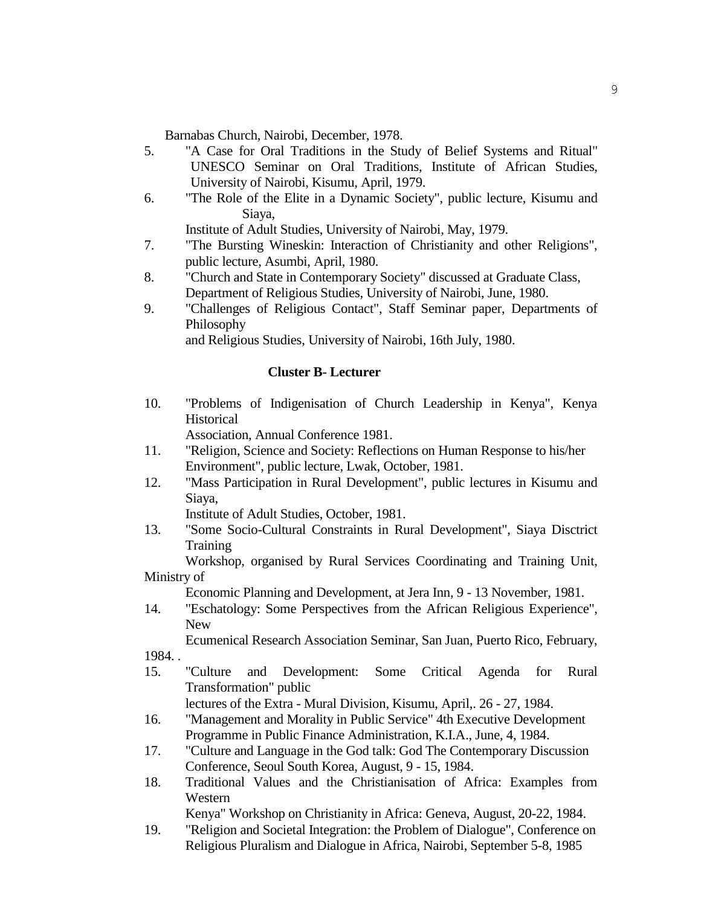Barnabas Church, Nairobi, December, 1978.

- 5. "A Case for Oral Traditions in the Study of Belief Systems and Ritual" UNESCO Seminar on Oral Traditions, Institute of African Studies, University of Nairobi, Kisumu, April, 1979.
- 6. "The Role of the Elite in a Dynamic Society", public lecture, Kisumu and Siaya,

Institute of Adult Studies, University of Nairobi, May, 1979.

- 7. "The Bursting Wineskin: Interaction of Christianity and other Religions", public lecture, Asumbi, April, 1980.
- 8. "Church and State in Contemporary Society" discussed at Graduate Class, Department of Religious Studies, University of Nairobi, June, 1980.
- 9. "Challenges of Religious Contact", Staff Seminar paper, Departments of Philosophy

and Religious Studies, University of Nairobi, 16th July, 1980.

#### **Cluster B- Lecturer**

10. "Problems of Indigenisation of Church Leadership in Kenya", Kenya **Historical** 

Association, Annual Conference 1981.

- 11. "Religion, Science and Society: Reflections on Human Response to his/her Environment", public lecture, Lwak, October, 1981.
- 12. "Mass Participation in Rural Development", public lectures in Kisumu and Siaya,

Institute of Adult Studies, October, 1981.

13. "Some Socio-Cultural Constraints in Rural Development", Siaya Disctrict Training

Workshop, organised by Rural Services Coordinating and Training Unit, Ministry of

Economic Planning and Development, at Jera Inn, 9 - 13 November, 1981.

14. "Eschatology: Some Perspectives from the African Religious Experience", New

Ecumenical Research Association Seminar, San Juan, Puerto Rico, February, 1984. .

15. "Culture and Development: Some Critical Agenda for Rural Transformation" public

lectures of the Extra - Mural Division, Kisumu, April,. 26 - 27, 1984.

- 16. "Management and Morality in Public Service" 4th Executive Development Programme in Public Finance Administration, K.I.A., June, 4, 1984.
- 17. "Culture and Language in the God talk: God The Contemporary Discussion Conference, Seoul South Korea, August, 9 - 15, 1984.
- 18. Traditional Values and the Christianisation of Africa: Examples from Western

Kenya" Workshop on Christianity in Africa: Geneva, August, 20-22, 1984.

19. "Religion and Societal Integration: the Problem of Dialogue", Conference on Religious Pluralism and Dialogue in Africa, Nairobi, September 5-8, 1985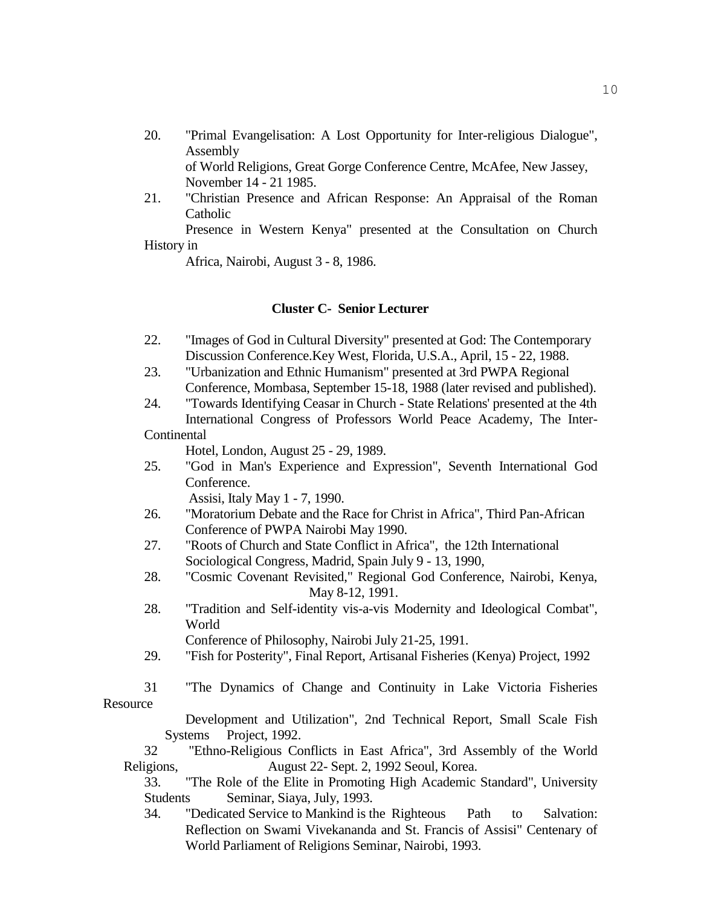20. "Primal Evangelisation: A Lost Opportunity for Inter-religious Dialogue", Assembly of World Religions, Great Gorge Conference Centre, McAfee, New Jassey,

November 14 - 21 1985.

21. "Christian Presence and African Response: An Appraisal of the Roman Catholic

Presence in Western Kenya" presented at the Consultation on Church History in

Africa, Nairobi, August 3 - 8, 1986.

#### **Cluster C- Senior Lecturer**

- 22. "Images of God in Cultural Diversity" presented at God: The Contemporary Discussion Conference.Key West, Florida, U.S.A., April, 15 - 22, 1988.
- 23. "Urbanization and Ethnic Humanism" presented at 3rd PWPA Regional Conference, Mombasa, September 15-18, 1988 (later revised and published).
- 24. "Towards Identifying Ceasar in Church State Relations' presented at the 4th International Congress of Professors World Peace Academy, The Inter-
- **Continental**

Hotel, London, August 25 - 29, 1989.

25. "God in Man's Experience and Expression", Seventh International God Conference.

Assisi, Italy May 1 - 7, 1990.

- 26. "Moratorium Debate and the Race for Christ in Africa", Third Pan-African Conference of PWPA Nairobi May 1990.
- 27. "Roots of Church and State Conflict in Africa", the 12th International Sociological Congress, Madrid, Spain July 9 - 13, 1990,
- 28. "Cosmic Covenant Revisited," Regional God Conference, Nairobi, Kenya, May 8-12, 1991.
- 28. "Tradition and Self-identity vis-a-vis Modernity and Ideological Combat", World

Conference of Philosophy, Nairobi July 21-25, 1991.

- 29. "Fish for Posterity", Final Report, Artisanal Fisheries (Kenya) Project, 1992
- 31 "The Dynamics of Change and Continuity in Lake Victoria Fisheries Resource

Development and Utilization", 2nd Technical Report, Small Scale Fish Systems Project, 1992.

32 "Ethno-Religious Conflicts in East Africa", 3rd Assembly of the World Religions, August 22- Sept. 2, 1992 Seoul, Korea.

33. "The Role of the Elite in Promoting High Academic Standard", University Students Seminar, Siaya, July, 1993.

34. "Dedicated Service to Mankind is the Righteous Path to Salvation: Reflection on Swami Vivekananda and St. Francis of Assisi" Centenary of World Parliament of Religions Seminar, Nairobi, 1993.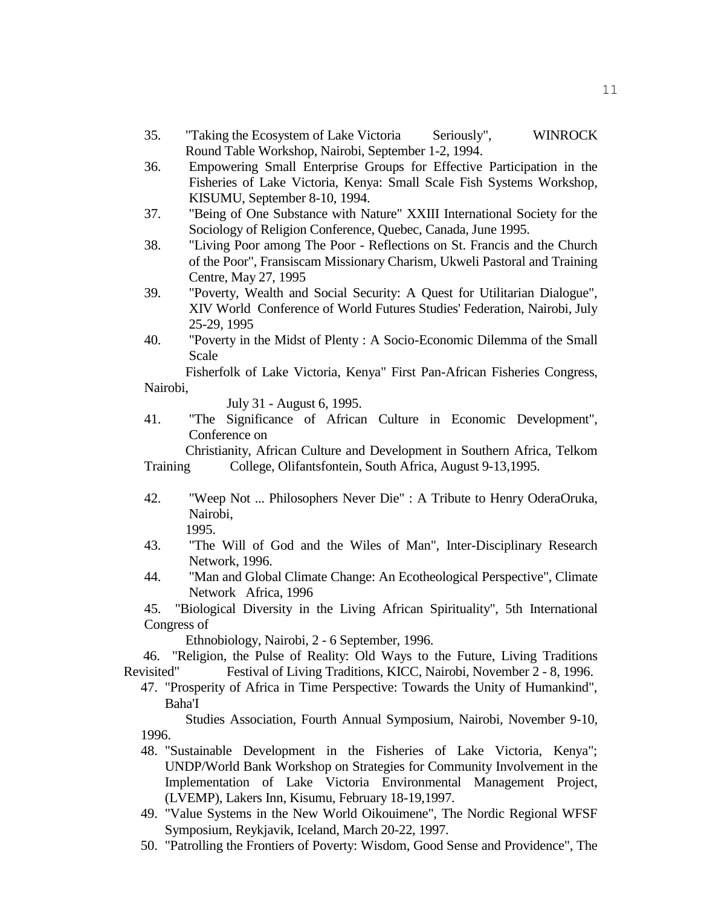- 35. "Taking the Ecosystem of Lake Victoria Seriously", WINROCK Round Table Workshop, Nairobi, September 1-2, 1994.
- 36. Empowering Small Enterprise Groups for Effective Participation in the Fisheries of Lake Victoria, Kenya: Small Scale Fish Systems Workshop, KISUMU, September 8-10, 1994.
- 37. "Being of One Substance with Nature" XXIII International Society for the Sociology of Religion Conference, Quebec, Canada, June 1995.
- 38. "Living Poor among The Poor Reflections on St. Francis and the Church of the Poor", Fransiscam Missionary Charism, Ukweli Pastoral and Training Centre, May 27, 1995
- 39. "Poverty, Wealth and Social Security: A Quest for Utilitarian Dialogue", XIV World Conference of World Futures Studies' Federation, Nairobi, July 25-29, 1995
- 40. "Poverty in the Midst of Plenty : A Socio-Economic Dilemma of the Small Scale

Fisherfolk of Lake Victoria, Kenya" First Pan-African Fisheries Congress, Nairobi,

July 31 - August 6, 1995.

41. "The Significance of African Culture in Economic Development", Conference on

Christianity, African Culture and Development in Southern Africa, Telkom Training College, Olifantsfontein, South Africa, August 9-13,1995.

42. "Weep Not ... Philosophers Never Die" : A Tribute to Henry OderaOruka, Nairobi,

1995.

- 43. "The Will of God and the Wiles of Man", Inter-Disciplinary Research Network, 1996.
- 44. "Man and Global Climate Change: An Ecotheological Perspective", Climate Network Africa, 1996

45. "Biological Diversity in the Living African Spirituality", 5th International Congress of

Ethnobiology, Nairobi, 2 - 6 September, 1996.

 46. "Religion, the Pulse of Reality: Old Ways to the Future, Living Traditions Revisited" Festival of Living Traditions, KICC, Nairobi, November 2 - 8, 1996.

47. "Prosperity of Africa in Time Perspective: Towards the Unity of Humankind", Baha'I

Studies Association, Fourth Annual Symposium, Nairobi, November 9-10, 1996.

- 48. "Sustainable Development in the Fisheries of Lake Victoria, Kenya"; UNDP/World Bank Workshop on Strategies for Community Involvement in the Implementation of Lake Victoria Environmental Management Project, (LVEMP), Lakers Inn, Kisumu, February 18-19,1997.
- 49. "Value Systems in the New World Oikouimene", The Nordic Regional WFSF Symposium, Reykjavik, Iceland, March 20-22, 1997.
- 50. "Patrolling the Frontiers of Poverty: Wisdom, Good Sense and Providence", The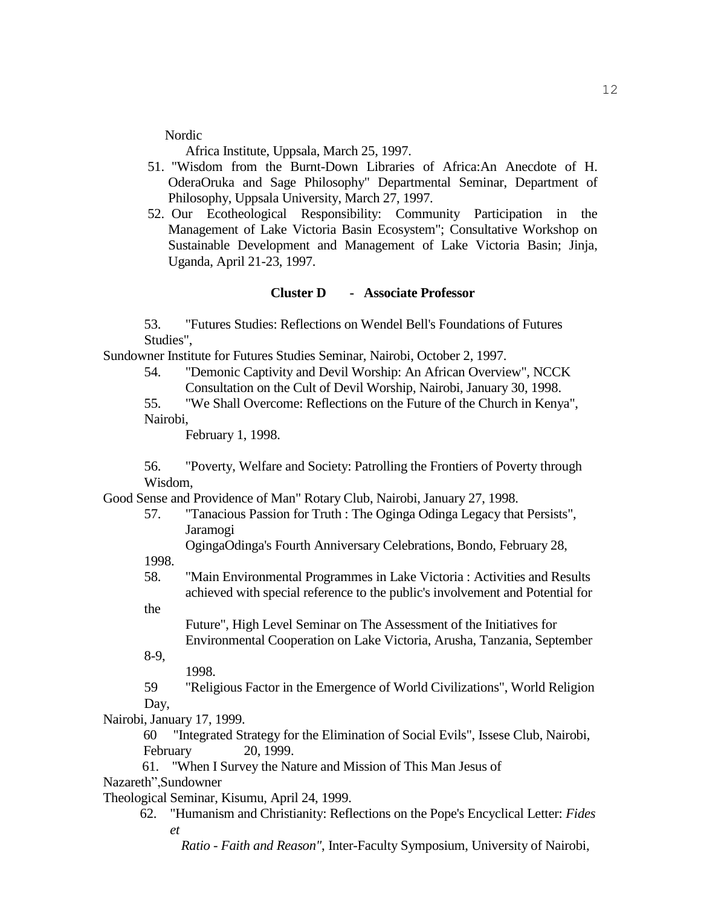Nordic

Africa Institute, Uppsala, March 25, 1997.

- 51. "Wisdom from the Burnt-Down Libraries of Africa:An Anecdote of H. OderaOruka and Sage Philosophy" Departmental Seminar, Department of Philosophy, Uppsala University, March 27, 1997.
- 52. Our Ecotheological Responsibility: Community Participation in the Management of Lake Victoria Basin Ecosystem"; Consultative Workshop on Sustainable Development and Management of Lake Victoria Basin; Jinja, Uganda, April 21-23, 1997.

#### **Cluster D - Associate Professor**

53. "Futures Studies: Reflections on Wendel Bell's Foundations of Futures Studies",

Sundowner Institute for Futures Studies Seminar, Nairobi, October 2, 1997.

54. "Demonic Captivity and Devil Worship: An African Overview", NCCK Consultation on the Cult of Devil Worship, Nairobi, January 30, 1998.

55. "We Shall Overcome: Reflections on the Future of the Church in Kenya", Nairobi,

February 1, 1998.

56. "Poverty, Welfare and Society: Patrolling the Frontiers of Poverty through Wisdom,

Good Sense and Providence of Man" Rotary Club, Nairobi, January 27, 1998.

57. "Tanacious Passion for Truth : The Oginga Odinga Legacy that Persists", Jaramogi

OgingaOdinga's Fourth Anniversary Celebrations, Bondo, February 28,

1998.

58. "Main Environmental Programmes in Lake Victoria : Activities and Results achieved with special reference to the public's involvement and Potential for

the

Future", High Level Seminar on The Assessment of the Initiatives for Environmental Cooperation on Lake Victoria, Arusha, Tanzania, September

8-9,

1998.

59 "Religious Factor in the Emergence of World Civilizations", World Religion Day,

Nairobi, January 17, 1999.

60 "Integrated Strategy for the Elimination of Social Evils", Issese Club, Nairobi, February 20, 1999.

 61. "When I Survey the Nature and Mission of This Man Jesus of Nazareth",Sundowner

Theological Seminar, Kisumu, April 24, 1999.

62. "Humanism and Christianity: Reflections on the Pope's Encyclical Letter: *Fides et* 

*Ratio - Faith and Reason"*, Inter-Faculty Symposium, University of Nairobi,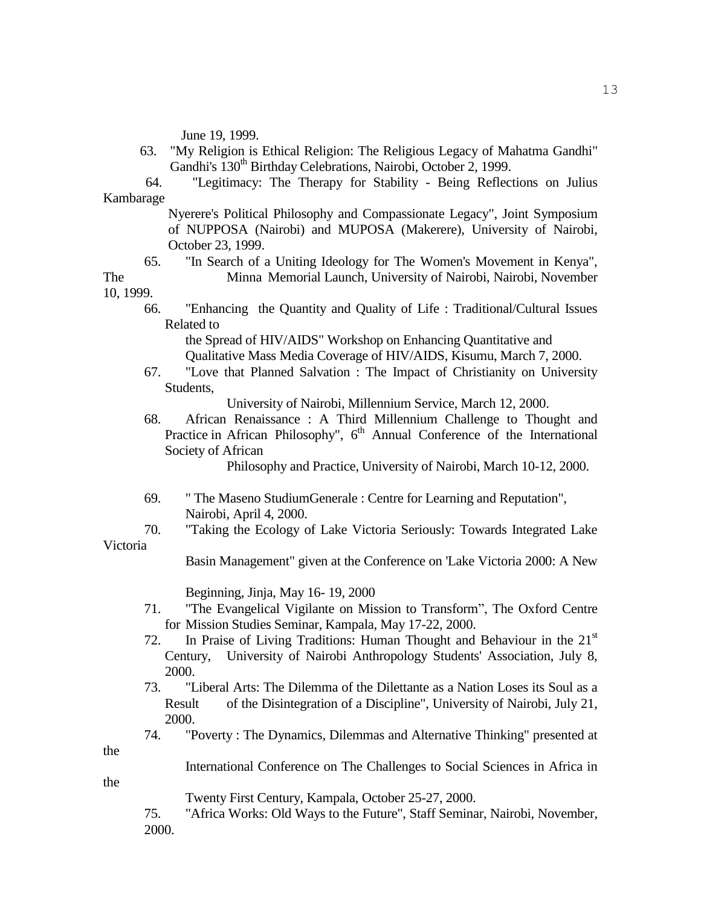June 19, 1999.

- 63. "My Religion is Ethical Religion: The Religious Legacy of Mahatma Gandhi" Gandhi's 130<sup>th</sup> Birthday Celebrations, Nairobi, October 2, 1999.
- 64. "Legitimacy: The Therapy for Stability Being Reflections on Julius Kambarage

Nyerere's Political Philosophy and Compassionate Legacy", Joint Symposium of NUPPOSA (Nairobi) and MUPOSA (Makerere), University of Nairobi, October 23, 1999.

65. "In Search of a Uniting Ideology for The Women's Movement in Kenya", The Minna Memorial Launch, University of Nairobi, Nairobi, November

10, 1999.

66. "Enhancing the Quantity and Quality of Life : Traditional/Cultural Issues Related to

the Spread of HIV/AIDS" Workshop on Enhancing Quantitative and Qualitative Mass Media Coverage of HIV/AIDS, Kisumu, March 7, 2000.

67. "Love that Planned Salvation : The Impact of Christianity on University Students,

University of Nairobi, Millennium Service, March 12, 2000.

68. African Renaissance : A Third Millennium Challenge to Thought and Practice in African Philosophy", 6<sup>th</sup> Annual Conference of the International Society of African

Philosophy and Practice, University of Nairobi, March 10-12, 2000.

- 69. " The Maseno StudiumGenerale : Centre for Learning and Reputation", Nairobi, April 4, 2000.
- 70. "Taking the Ecology of Lake Victoria Seriously: Towards Integrated Lake Victoria

Basin Management" given at the Conference on 'Lake Victoria 2000: A New

Beginning, Jinja, May 16- 19, 2000

- 71. "The Evangelical Vigilante on Mission to Transform", The Oxford Centre for Mission Studies Seminar, Kampala, May 17-22, 2000.
- 72. In Praise of Living Traditions: Human Thought and Behaviour in the  $21<sup>st</sup>$ Century, University of Nairobi Anthropology Students' Association, July 8, 2000.
- 73. "Liberal Arts: The Dilemma of the Dilettante as a Nation Loses its Soul as a Result of the Disintegration of a Discipline", University of Nairobi, July 21, 2000.
- the

the

74. "Poverty : The Dynamics, Dilemmas and Alternative Thinking" presented at

International Conference on The Challenges to Social Sciences in Africa in

Twenty First Century, Kampala, October 25-27, 2000.

75. "Africa Works: Old Ways to the Future", Staff Seminar, Nairobi, November, 2000.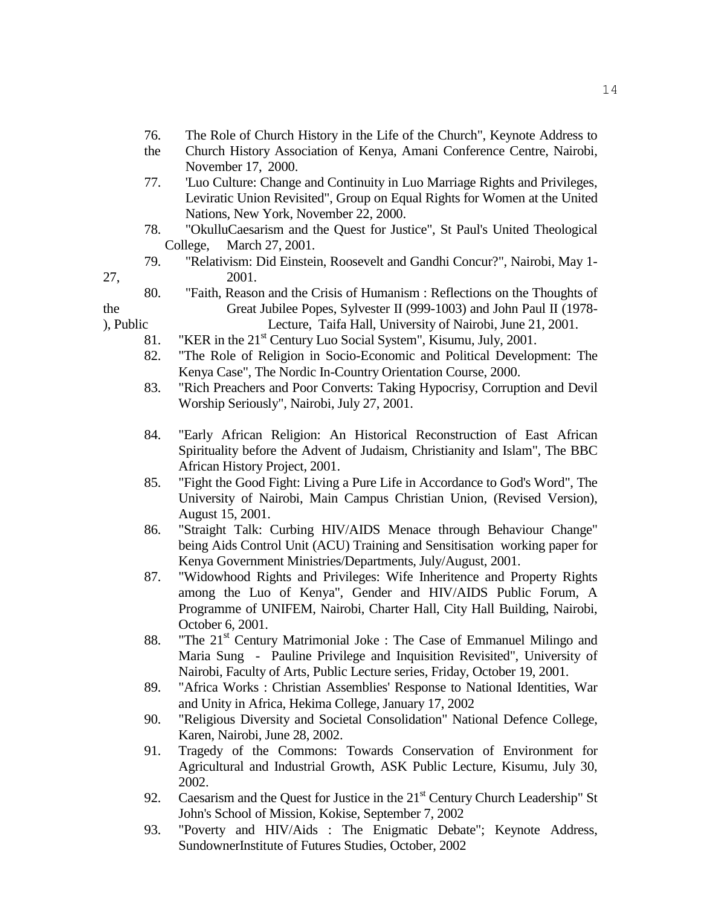- 76. The Role of Church History in the Life of the Church", Keynote Address to
- the Church History Association of Kenya, Amani Conference Centre, Nairobi, November 17, 2000.
- 77. 'Luo Culture: Change and Continuity in Luo Marriage Rights and Privileges, Leviratic Union Revisited", Group on Equal Rights for Women at the United Nations, New York, November 22, 2000.
- 78. "OkulluCaesarism and the Quest for Justice", St Paul's United Theological College, March 27, 2001.
- 79. "Relativism: Did Einstein, Roosevelt and Gandhi Concur?", Nairobi, May 1- 27, 2001.

- 80. "Faith, Reason and the Crisis of Humanism : Reflections on the Thoughts of the Great Jubilee Popes, Sylvester II (999-1003) and John Paul II (1978- ), Public Lecture, Taifa Hall, University of Nairobi, June 21, 2001.
	- 81. "KER in the  $21<sup>st</sup>$  Century Luo Social System", Kisumu, July, 2001.
	- 82. "The Role of Religion in Socio-Economic and Political Development: The Kenya Case", The Nordic In-Country Orientation Course, 2000.
	- 83. "Rich Preachers and Poor Converts: Taking Hypocrisy, Corruption and Devil Worship Seriously", Nairobi, July 27, 2001.
	- 84. "Early African Religion: An Historical Reconstruction of East African Spirituality before the Advent of Judaism, Christianity and Islam", The BBC African History Project, 2001.
	- 85. "Fight the Good Fight: Living a Pure Life in Accordance to God's Word", The University of Nairobi, Main Campus Christian Union, (Revised Version), August 15, 2001.
	- 86. "Straight Talk: Curbing HIV/AIDS Menace through Behaviour Change" being Aids Control Unit (ACU) Training and Sensitisation working paper for Kenya Government Ministries/Departments, July/August, 2001.
	- 87. "Widowhood Rights and Privileges: Wife Inheritence and Property Rights among the Luo of Kenya", Gender and HIV/AIDS Public Forum, A Programme of UNIFEM, Nairobi, Charter Hall, City Hall Building, Nairobi, October 6, 2001.
	- 88. "The  $21<sup>st</sup>$  Century Matrimonial Joke : The Case of Emmanuel Milingo and Maria Sung - Pauline Privilege and Inquisition Revisited", University of Nairobi, Faculty of Arts, Public Lecture series, Friday, October 19, 2001.
	- 89. "Africa Works : Christian Assemblies' Response to National Identities, War and Unity in Africa, Hekima College, January 17, 2002
	- 90. "Religious Diversity and Societal Consolidation" National Defence College, Karen, Nairobi, June 28, 2002.
	- 91. Tragedy of the Commons: Towards Conservation of Environment for Agricultural and Industrial Growth, ASK Public Lecture, Kisumu, July 30, 2002.
	- 92. Caesarism and the Quest for Justice in the  $21<sup>st</sup>$  Century Church Leadership" St John's School of Mission, Kokise, September 7, 2002
	- 93. "Poverty and HIV/Aids : The Enigmatic Debate"; Keynote Address, SundownerInstitute of Futures Studies, October, 2002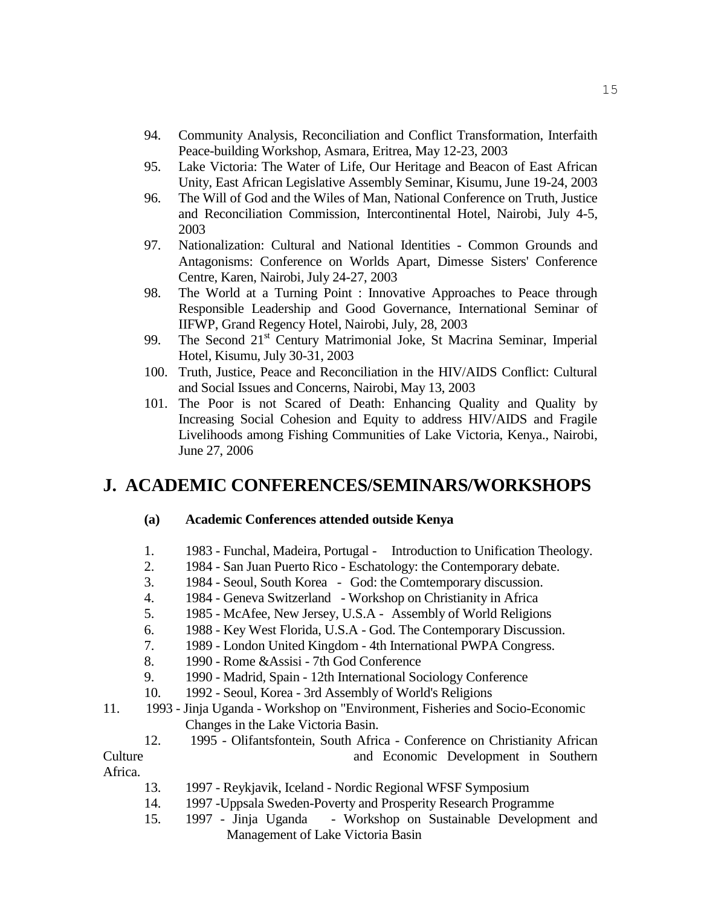- 94. Community Analysis, Reconciliation and Conflict Transformation, Interfaith Peace-building Workshop, Asmara, Eritrea, May 12-23, 2003
- 95. Lake Victoria: The Water of Life, Our Heritage and Beacon of East African Unity, East African Legislative Assembly Seminar, Kisumu, June 19-24, 2003
- 96. The Will of God and the Wiles of Man, National Conference on Truth, Justice and Reconciliation Commission, Intercontinental Hotel, Nairobi, July 4-5, 2003
- 97. Nationalization: Cultural and National Identities Common Grounds and Antagonisms: Conference on Worlds Apart, Dimesse Sisters' Conference Centre, Karen, Nairobi, July 24-27, 2003
- 98. The World at a Turning Point : Innovative Approaches to Peace through Responsible Leadership and Good Governance, International Seminar of IIFWP, Grand Regency Hotel, Nairobi, July, 28, 2003
- 99. The Second 21<sup>st</sup> Century Matrimonial Joke, St Macrina Seminar, Imperial Hotel, Kisumu, July 30-31, 2003
- 100. Truth, Justice, Peace and Reconciliation in the HIV/AIDS Conflict: Cultural and Social Issues and Concerns, Nairobi, May 13, 2003
- 101. The Poor is not Scared of Death: Enhancing Quality and Quality by Increasing Social Cohesion and Equity to address HIV/AIDS and Fragile Livelihoods among Fishing Communities of Lake Victoria, Kenya., Nairobi, June 27, 2006

## **J. ACADEMIC CONFERENCES/SEMINARS/WORKSHOPS**

#### **(a) Academic Conferences attended outside Kenya**

- 1. 1983 Funchal, Madeira, Portugal Introduction to Unification Theology.
- 2. 1984 San Juan Puerto Rico Eschatology: the Contemporary debate.
- 3. 1984 Seoul, South Korea God: the Comtemporary discussion.
- 4. 1984 Geneva Switzerland Workshop on Christianity in Africa
- 5. 1985 McAfee, New Jersey, U.S.A Assembly of World Religions
- 6. 1988 Key West Florida, U.S.A God. The Contemporary Discussion.
- 7. 1989 London United Kingdom 4th International PWPA Congress.
- 8. 1990 Rome &Assisi 7th God Conference
- 9. 1990 Madrid, Spain 12th International Sociology Conference
- 10. 1992 Seoul, Korea 3rd Assembly of World's Religions
- 11. 1993 Jinja Uganda Workshop on "Environment, Fisheries and Socio-Economic Changes in the Lake Victoria Basin.
- 12. 1995 Olifantsfontein, South Africa Conference on Christianity African Culture and Economic Development in Southern

Africa.

- 13. 1997 Reykjavik, Iceland Nordic Regional WFSF Symposium
- 14. 1997 -Uppsala Sweden-Poverty and Prosperity Research Programme
- 15. 1997 Jinja Uganda Workshop on Sustainable Development and Management of Lake Victoria Basin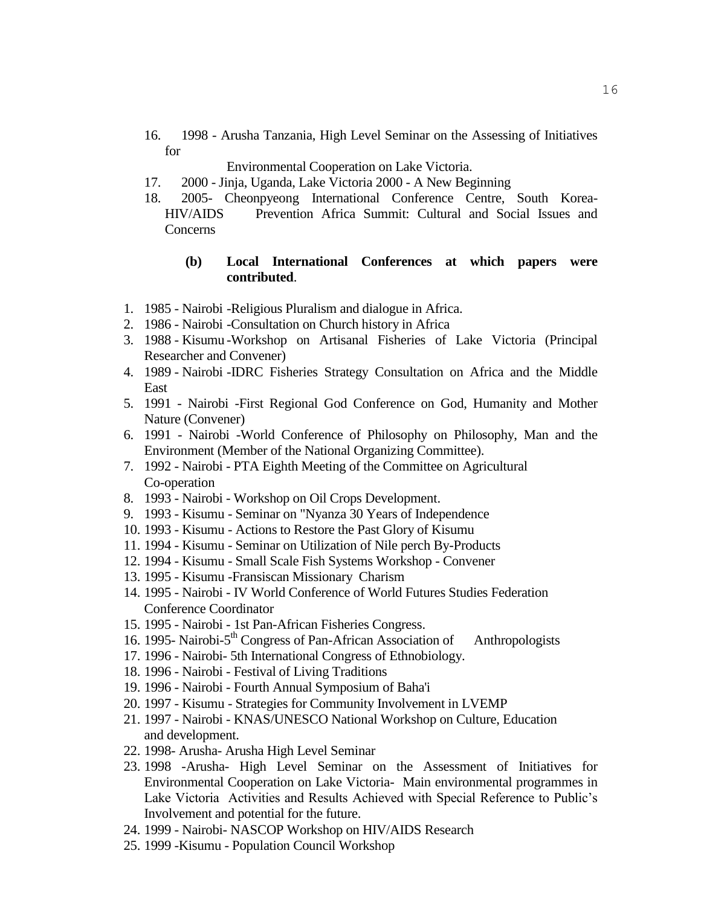16. 1998 - Arusha Tanzania, High Level Seminar on the Assessing of Initiatives for

Environmental Cooperation on Lake Victoria.

- 17. 2000 Jinja, Uganda, Lake Victoria 2000 A New Beginning
- 18. 2005- Cheonpyeong International Conference Centre, South Korea-HIV/AIDS Prevention Africa Summit: Cultural and Social Issues and Concerns

#### **(b) Local International Conferences at which papers were contributed**.

- 1. 1985 Nairobi -Religious Pluralism and dialogue in Africa.
- 2. 1986 Nairobi -Consultation on Church history in Africa
- 3. 1988 Kisumu -Workshop on Artisanal Fisheries of Lake Victoria (Principal Researcher and Convener)
- 4. 1989 Nairobi -IDRC Fisheries Strategy Consultation on Africa and the Middle East
- 5. 1991 Nairobi -First Regional God Conference on God, Humanity and Mother Nature (Convener)
- 6. 1991 Nairobi -World Conference of Philosophy on Philosophy, Man and the Environment (Member of the National Organizing Committee).
- 7. 1992 Nairobi PTA Eighth Meeting of the Committee on Agricultural Co-operation
- 8. 1993 Nairobi Workshop on Oil Crops Development.
- 9. 1993 Kisumu Seminar on "Nyanza 30 Years of Independence
- 10. 1993 Kisumu Actions to Restore the Past Glory of Kisumu
- 11. 1994 Kisumu Seminar on Utilization of Nile perch By-Products
- 12. 1994 Kisumu Small Scale Fish Systems Workshop Convener
- 13. 1995 Kisumu -Fransiscan Missionary Charism
- 14. 1995 Nairobi IV World Conference of World Futures Studies Federation Conference Coordinator
- 15. 1995 Nairobi 1st Pan-African Fisheries Congress.
- 16. 1995- Nairobi-5<sup>th</sup> Congress of Pan-African Association of Anthropologists
- 17. 1996 Nairobi- 5th International Congress of Ethnobiology.
- 18. 1996 Nairobi Festival of Living Traditions
- 19. 1996 Nairobi Fourth Annual Symposium of Baha'i
- 20. 1997 Kisumu Strategies for Community Involvement in LVEMP
- 21. 1997 Nairobi KNAS/UNESCO National Workshop on Culture, Education and development.
- 22. 1998- Arusha- Arusha High Level Seminar
- 23. 1998 -Arusha- High Level Seminar on the Assessment of Initiatives for Environmental Cooperation on Lake Victoria- Main environmental programmes in Lake Victoria Activities and Results Achieved with Special Reference to Public's Involvement and potential for the future.
- 24. 1999 Nairobi- NASCOP Workshop on HIV/AIDS Research
- 25. 1999 -Kisumu Population Council Workshop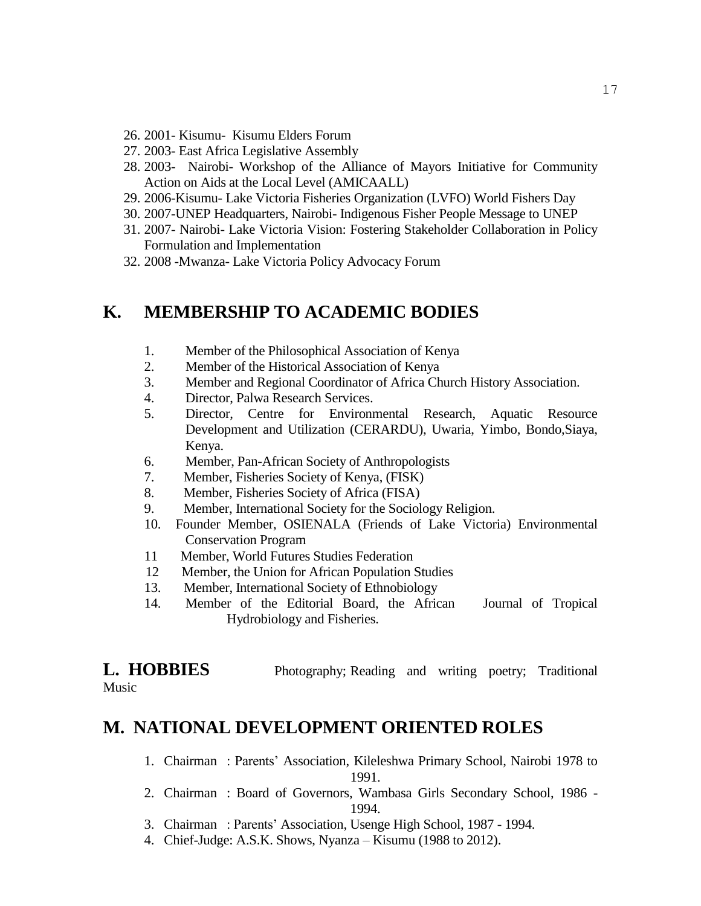- 26. 2001- Kisumu- Kisumu Elders Forum
- 27. 2003- East Africa Legislative Assembly
- 28. 2003- Nairobi- Workshop of the Alliance of Mayors Initiative for Community Action on Aids at the Local Level (AMICAALL)
- 29. 2006-Kisumu- Lake Victoria Fisheries Organization (LVFO) World Fishers Day
- 30. 2007-UNEP Headquarters, Nairobi- Indigenous Fisher People Message to UNEP
- 31. 2007- Nairobi- Lake Victoria Vision: Fostering Stakeholder Collaboration in Policy Formulation and Implementation
- 32. 2008 -Mwanza- Lake Victoria Policy Advocacy Forum

## **K. MEMBERSHIP TO ACADEMIC BODIES**

- 1. Member of the Philosophical Association of Kenya
- 2. Member of the Historical Association of Kenya
- 3. Member and Regional Coordinator of Africa Church History Association.
- 4. Director, Palwa Research Services.
- 5. Director, Centre for Environmental Research, Aquatic Resource Development and Utilization (CERARDU), Uwaria, Yimbo, Bondo,Siaya, Kenya.
- 6. Member, Pan-African Society of Anthropologists
- 7. Member, Fisheries Society of Kenya, (FISK)
- 8. Member, Fisheries Society of Africa (FISA)
- 9. Member, International Society for the Sociology Religion.
- 10. Founder Member, OSIENALA (Friends of Lake Victoria) Environmental Conservation Program
- 11 Member, World Futures Studies Federation
- 12 Member, the Union for African Population Studies
- 13. Member, International Society of Ethnobiology
- 14. Member of the Editorial Board, the African Journal of Tropical Hydrobiology and Fisheries.

**L. HOBBIES** Photography; Reading and writing poetry; Traditional

Music

## **M. NATIONAL DEVELOPMENT ORIENTED ROLES**

- 1. Chairman : Parents' Association, Kileleshwa Primary School, Nairobi 1978 to 1991.
- 2. Chairman : Board of Governors, Wambasa Girls Secondary School, 1986 1994.
- 3. Chairman : Parents' Association, Usenge High School, 1987 1994.
- 4. Chief-Judge: A.S.K. Shows, Nyanza Kisumu (1988 to 2012).